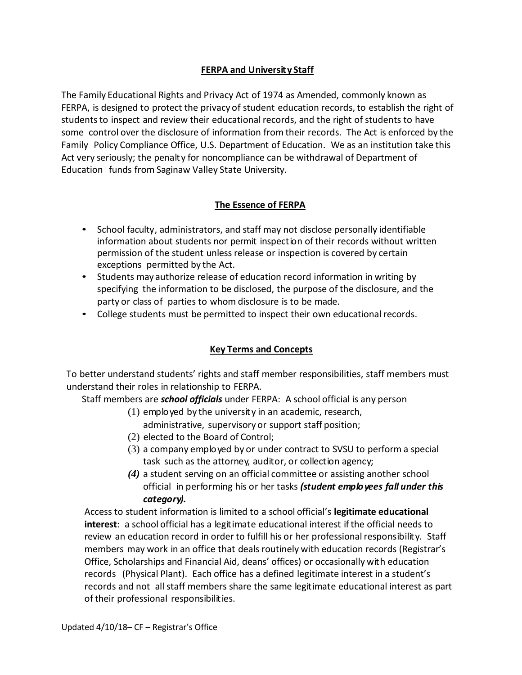# **FERPA and University Staff**

The Family Educational Rights and Privacy Act of 1974 as Amended, commonly known as FERPA, is designed to protect the privacy of student education records, to establish the right of students to inspect and review their educational records, and the right of students to have some control over the disclosure of information from their records. The Act is enforced by the Family Policy Compliance Office, U.S. Department of Education. We as an institution take this Act very seriously; the penalty for noncompliance can be withdrawal of Department of Education funds from Saginaw Valley State University.

# **The Essence of FERPA**

- School faculty, administrators, and staff may not disclose personally identifiable information about students nor permit inspection oftheir records without written permission of the student unless release or inspection is covered by certain exceptions permitted by the Act.
- Students may authorize release of education record information in writing by specifying the information to be disclosed, the purpose of the disclosure, and the party or class of parties to whom disclosure is to be made.
- College students must be permitted to inspect their own educational records.

# **Key Terms and Concepts**

To better understand students' rights and staff member responsibilities, staff members must understand their roles in relationship to FERPA.

Staff members are *school officials* under FERPA: A school official is any person

(1) employed by the university in an academic, research,

administrative, supervisory or support staff position;

- (2) elected to the Board of Control;
- (3) a company employed by or under contract to SVSU to perform a special task such as the attorney, auditor, or collection agency;
- *(4)* a student serving on an official committee or assisting another school official in performing his or her tasks *(student employees fall under this category).*

Access to student information is limited to a school official's **legitimate educational interest**: a school official has a legitimate educational interest ifthe official needs to review an education record in order to fulfill his or her professional responsibility. Staff members may work in an office that deals routinely with education records (Registrar's Office, Scholarships and Financial Aid, deans' offices) or occasionally with education records (Physical Plant). Each office has a defined legitimate interest in a student's records and not all staff members share the same legitimate educational interest as part of their professional responsibilities.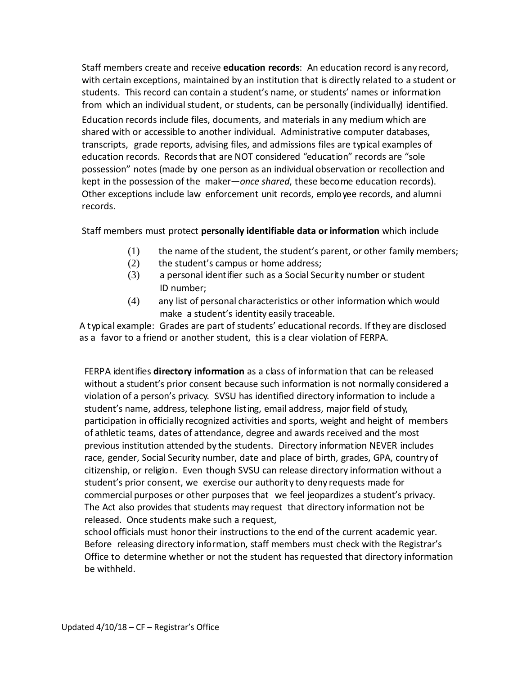Staff members create and receive **education records**: An education record is any record, with certain exceptions, maintained by an institution that is directly related to a student or students. This record can contain a student's name, or students' names or information from which an individual student, or students, can be personally (individually) identified. Education records include files, documents, and materials in any medium which are shared with or accessible to another individual. Administrative computer databases, transcripts, grade reports, advising files, and admissions files are typical examples of education records. Records that are NOT considered "education" records are "sole possession" notes (made by one person as an individual observation or recollection and kept in the possession of the maker—*once shared*, these become education records). Other exceptions include law enforcement unit records, employee records, and alumni records.

# Staff members must protect **personally identifiable data or information** which include

- (1) the name of the student, the student's parent, or other family members;
- (2) the student's campus or home address;
- (3) a personal identifier such as a Social Securit y number or student ID number;
- (4) any list of personal characteristics or other information which would make a student's identity easily traceable.

A typical example: Grades are part of students' educational records. Ifthey are disclosed as a favor to a friend or another student, this is a clear violation of FERPA.

FERPA identifies **directory information** as a class of information that can be released without a student's prior consent because such information is not normally considered a violation of a person's privacy. SVSU has identified directory information to include a student's name, address, telephone listing, email address, major field of study, participation in officially recognized activities and sports, weight and height of members of athletic teams, dates of attendance, degree and awards received and the most previous institution attended by the students. Directory information NEVER includes race, gender, Social Security number, date and place of birth, grades, GPA, country of citizenship, or religion. Even though SVSU can release directory information without a student's prior consent, we exercise our authority to deny requests made for commercial purposes or other purposes that we feel jeopardizes a student's privacy. The Act also provides that students may request that directory information not be released. Once students make such a request,

school officials must honor their instructions to the end of the current academic year. Before releasing directory information, staff members must check with the Registrar's Office to determine whether or not the student has requested that directory information be withheld.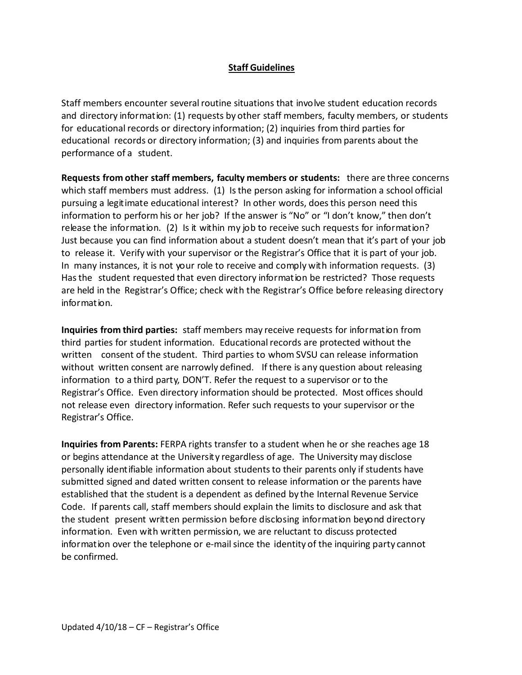### **Staff Guidelines**

Staff members encounter several routine situations that involve student education records and directory information: (1) requests by other staff members, faculty members, or students for educational records or directory information; (2) inquiries from third parties for educational records or directory information; (3) and inquiries from parents about the performance of a student.

**Requests from other staff members, faculty members or students:** there are three concerns which staff members must address. (1) Is the person asking for information a school official pursuing a legitimate educational interest? In other words, doesthis person need this information to perform his or her job? If the answer is "No" or "I don't know," then don't release the information. (2) Is it within my job to receive such requests for information? Just because you can find information about a student doesn't mean that it's part of your job to release it. Verify with your supervisor or the Registrar's Office that it is part of your job. In many instances, it is not your role to receive and comply with information requests. (3) Hasthe student requested that even directory information be restricted? Those requests are held in the Registrar's Office; check with the Registrar's Office before releasing directory information.

**Inquiries from third parties:** staff members may receive requests for information from third parties for student information. Educationalrecords are protected without the written consent of the student. Third parties to whom SVSU can release information without written consent are narrowly defined. If there is any question about releasing information to a third party, DON'T. Refer the request to a supervisor or to the Registrar's Office. Even directory information should be protected. Most offices should not release even directory information. Refer such requests to your supervisor or the Registrar's Office.

**Inquiries from Parents:** FERPA rights transfer to a student when he or she reaches age 18 or begins attendance at the University regardless of age. The University may disclose personally identifiable information about students to their parents only if students have submitted signed and dated written consent to release information or the parents have established that the student is a dependent as defined by the Internal Revenue Service Code. If parents call, staff members should explain the limits to disclosure and ask that the student present written permission before disclosing information beyond directory information. Even with written permission, we are reluctant to discuss protected information over the telephone or e-mail since the identity of the inquiring party cannot be confirmed.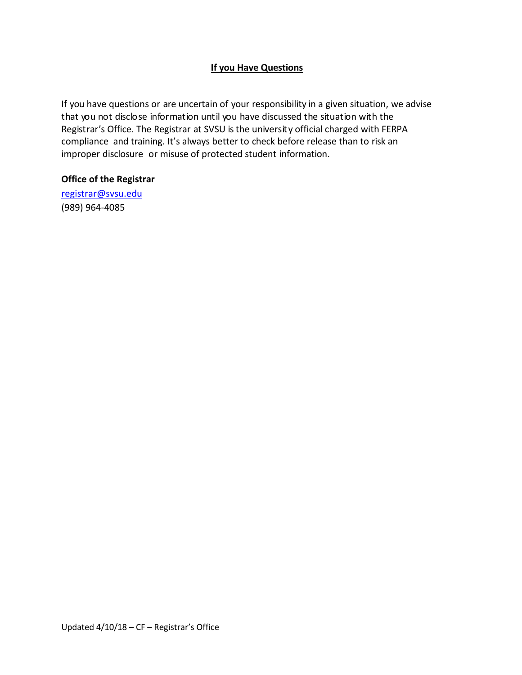# **If you Have Questions**

If you have questions or are uncertain of your responsibility in a given situation, we advise that you not disclose information until you have discussed the situation with the Registrar's Office. The Registrar at SVSU isthe university official charged with FERPA compliance and training. It's always better to check before release than to risk an improper disclosure or misuse of protected student information.

### **Office of the Registrar**

[registrar@svsu.edu](mailto:registrar@svsu.edu)  (989) 964-4085